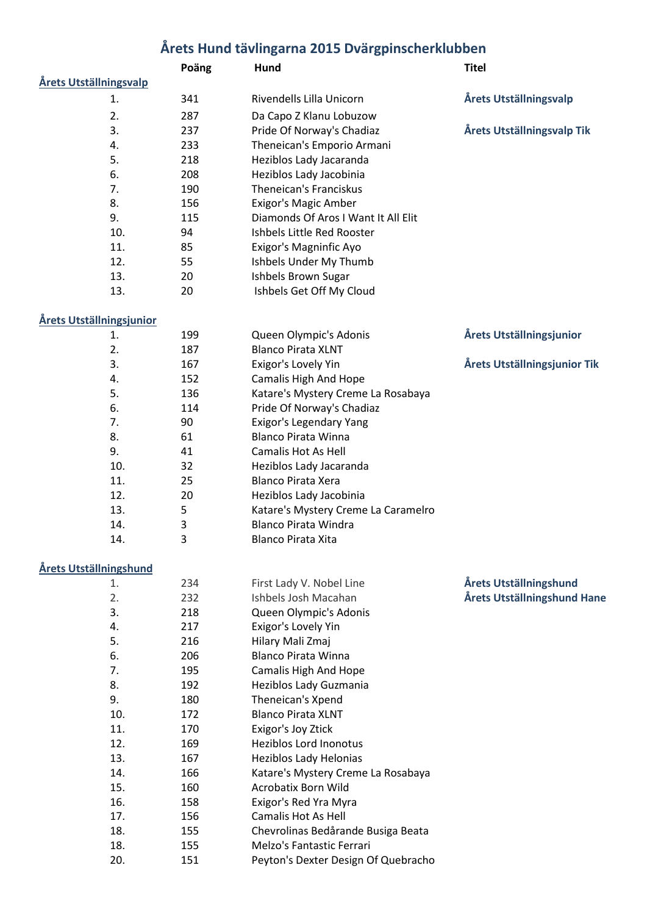## **Årets Hund tävlingarna 2015 Dvärgpinscherklubben**

|                        | Poäng | Hund                                | <b>Titel</b>                  |
|------------------------|-------|-------------------------------------|-------------------------------|
| Årets Utställningsvalp |       |                                     |                               |
| 1.                     | 341   | Rivendells Lilla Unicorn            | <b>Årets Utställningsvalp</b> |
| 2.                     | 287   | Da Capo Z Klanu Lobuzow             |                               |
| 3.                     | 237   | Pride Of Norway's Chadiaz           | Årets Utställningsvalp Tik    |
| 4.                     | 233   | Theneican's Emporio Armani          |                               |
| 5.                     | 218   | Heziblos Lady Jacaranda             |                               |
| 6.                     | 208   | Heziblos Lady Jacobinia             |                               |
| 7.                     | 190   | Theneican's Franciskus              |                               |
| 8.                     | 156   | Exigor's Magic Amber                |                               |
| 9.                     | 115   | Diamonds Of Aros I Want It All Elit |                               |
| 10.                    | 94    | Ishbels Little Red Rooster          |                               |
| 11.                    | 85    | Exigor's Magninfic Ayo              |                               |
| 12.                    | 55    | Ishbels Under My Thumb              |                               |
| 13.                    | 20    | Ishbels Brown Sugar                 |                               |
| 13.                    | 20    | Ishbels Get Off My Cloud            |                               |

# **Årets Utställningsjunior**

| tällningsjunior |     |                                     |                              |
|-----------------|-----|-------------------------------------|------------------------------|
| 1.              | 199 | Queen Olympic's Adonis              | Årets Utställningsjunior     |
| 2.              | 187 | <b>Blanco Pirata XLNT</b>           |                              |
| 3.              | 167 | Exigor's Lovely Yin                 | Årets Utställningsjunior Tik |
| 4.              | 152 | Camalis High And Hope               |                              |
| 5.              | 136 | Katare's Mystery Creme La Rosabaya  |                              |
| 6.              | 114 | Pride Of Norway's Chadiaz           |                              |
| 7.              | 90  | Exigor's Legendary Yang             |                              |
| 8.              | 61  | Blanco Pirata Winna                 |                              |
| 9.              | 41  | Camalis Hot As Hell                 |                              |
| 10.             | 32  | Heziblos Lady Jacaranda             |                              |
| 11.             | 25  | Blanco Pirata Xera                  |                              |
| 12.             | 20  | Heziblos Lady Jacobinia             |                              |
| 13.             | 5   | Katare's Mystery Creme La Caramelro |                              |
| 14.             | 3   | <b>Blanco Pirata Windra</b>         |                              |
| 14.             | 3   | <b>Blanco Pirata Xita</b>           |                              |

#### **Årets Utställningshund**

| 1.  | 234 | First Lady V. Nobel Line            | Årets Utställningshund      |
|-----|-----|-------------------------------------|-----------------------------|
| 2.  | 232 | Ishbels Josh Macahan                | Årets Utställningshund Hane |
| 3.  | 218 | Queen Olympic's Adonis              |                             |
| 4.  | 217 | Exigor's Lovely Yin                 |                             |
| 5.  | 216 | Hilary Mali Zmaj                    |                             |
| 6.  | 206 | <b>Blanco Pirata Winna</b>          |                             |
| 7.  | 195 | <b>Camalis High And Hope</b>        |                             |
| 8.  | 192 | Heziblos Lady Guzmania              |                             |
| 9.  | 180 | Theneican's Xpend                   |                             |
| 10. | 172 | <b>Blanco Pirata XLNT</b>           |                             |
| 11. | 170 | Exigor's Joy Ztick                  |                             |
| 12. | 169 | Heziblos Lord Inonotus              |                             |
| 13. | 167 | Heziblos Lady Helonias              |                             |
| 14. | 166 | Katare's Mystery Creme La Rosabaya  |                             |
| 15. | 160 | <b>Acrobatix Born Wild</b>          |                             |
| 16. | 158 | Exigor's Red Yra Myra               |                             |
| 17. | 156 | Camalis Hot As Hell                 |                             |
| 18. | 155 | Chevrolinas Bedårande Busiga Beata  |                             |
| 18. | 155 | Melzo's Fantastic Ferrari           |                             |
| 20. | 151 | Peyton's Dexter Design Of Quebracho |                             |
|     |     |                                     |                             |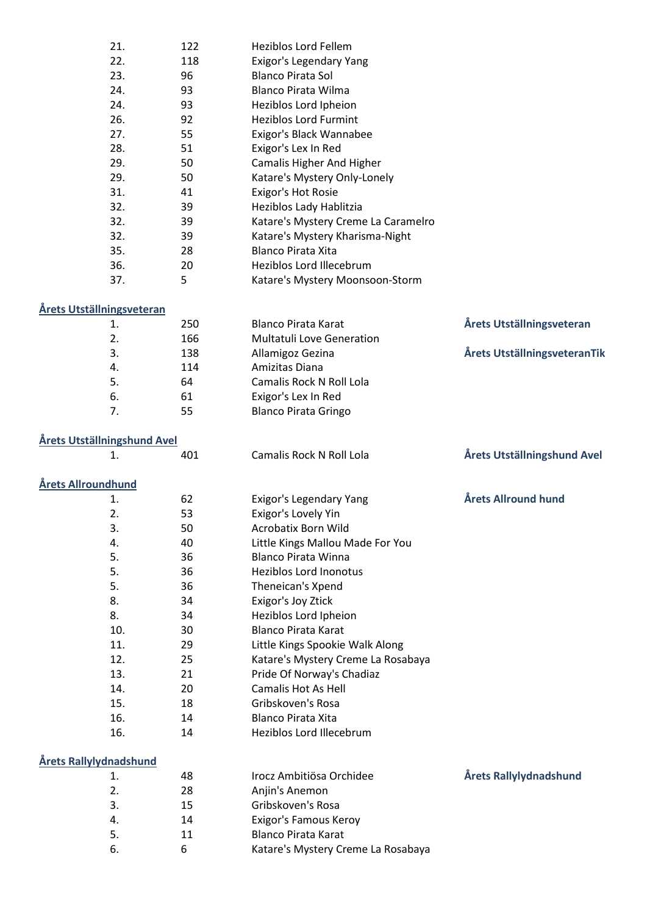| 21.                                 | 122 | <b>Heziblos Lord Fellem</b>         |                              |
|-------------------------------------|-----|-------------------------------------|------------------------------|
| 22.                                 | 118 | Exigor's Legendary Yang             |                              |
| 23.                                 | 96  | <b>Blanco Pirata Sol</b>            |                              |
| 24.                                 | 93  | <b>Blanco Pirata Wilma</b>          |                              |
| 24.                                 | 93  | Heziblos Lord Ipheion               |                              |
| 26.                                 | 92  | <b>Heziblos Lord Furmint</b>        |                              |
| 27.                                 | 55  | Exigor's Black Wannabee             |                              |
| 28.                                 | 51  | Exigor's Lex In Red                 |                              |
| 29.                                 | 50  | <b>Camalis Higher And Higher</b>    |                              |
| 29.                                 | 50  | Katare's Mystery Only-Lonely        |                              |
| 31.                                 | 41  | Exigor's Hot Rosie                  |                              |
| 32.                                 | 39  | Heziblos Lady Hablitzia             |                              |
| 32.                                 | 39  | Katare's Mystery Creme La Caramelro |                              |
| 32.                                 | 39  | Katare's Mystery Kharisma-Night     |                              |
| 35.                                 | 28  | <b>Blanco Pirata Xita</b>           |                              |
| 36.                                 | 20  | Heziblos Lord Illecebrum            |                              |
| 37.                                 | 5   | Katare's Mystery Moonsoon-Storm     |                              |
| Årets Utställningsveteran           |     |                                     |                              |
| 1.                                  | 250 | <b>Blanco Pirata Karat</b>          | Årets Utställningsveteran    |
| 2.                                  | 166 | Multatuli Love Generation           |                              |
| 3.                                  | 138 | Allamigoz Gezina                    | Årets UtställningsveteranTik |
| 4.                                  | 114 | Amizitas Diana                      |                              |
| 5.                                  | 64  | Camalis Rock N Roll Lola            |                              |
| 6.                                  | 61  | Exigor's Lex In Red                 |                              |
| 7.                                  | 55  | <b>Blanco Pirata Gringo</b>         |                              |
| <u> Årets Utställningshund Avel</u> |     |                                     |                              |
| 1.                                  | 401 | Camalis Rock N Roll Lola            | Årets Utställningshund Avel  |
| Årets Allroundhund                  |     |                                     |                              |
| 1.                                  | 62  | Exigor's Legendary Yang             | Årets Allround hund          |
| 2.                                  | 53  | Exigor's Lovely Yin                 |                              |
| 3.                                  | 50  | Acrobatix Born Wild                 |                              |
| 4.                                  | 40  | Little Kings Mallou Made For You    |                              |
| 5.                                  | 36  | <b>Blanco Pirata Winna</b>          |                              |
| 5.                                  | 36  | <b>Heziblos Lord Inonotus</b>       |                              |
| 5.                                  | 36  | Theneican's Xpend                   |                              |
| 8.                                  | 34  | Exigor's Joy Ztick                  |                              |
| 8.                                  | 34  | Heziblos Lord Ipheion               |                              |
| 10.                                 | 30  | <b>Blanco Pirata Karat</b>          |                              |
| 11.                                 | 29  | Little Kings Spookie Walk Along     |                              |
| 12.                                 | 25  | Katare's Mystery Creme La Rosabaya  |                              |
| 13.                                 | 21  | Pride Of Norway's Chadiaz           |                              |
| 14.                                 | 20  | Camalis Hot As Hell                 |                              |
| 15.                                 | 18  | Gribskoven's Rosa                   |                              |
| 16.                                 | 14  | <b>Blanco Pirata Xita</b>           |                              |
| 16.                                 | 14  | Heziblos Lord Illecebrum            |                              |
| <u>Årets Rallylydnadshund</u>       |     |                                     |                              |
| 1.                                  | 48  | Irocz Ambitiösa Orchidee            | Årets Rallylydnadshund       |
| 2.                                  | 28  | Anjin's Anemon                      |                              |
| 3.                                  | 15  | Gribskoven's Rosa                   |                              |
| 4.                                  | 14  | Exigor's Famous Keroy               |                              |
| 5.                                  | 11  | <b>Blanco Pirata Karat</b>          |                              |
| 6.                                  | 6   | Katare's Mystery Creme La Rosabaya  |                              |
|                                     |     |                                     |                              |